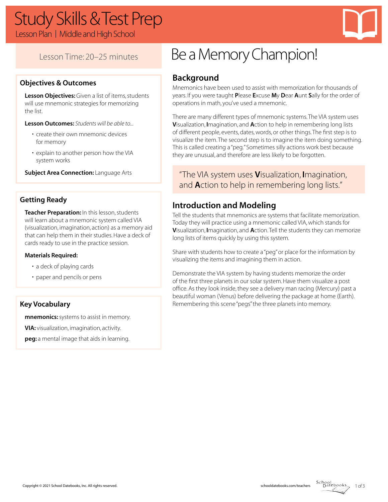# Study Skills & Test Prep

Lesson Plan | Middle and High School

# Lesson Time: 20–25 minutes

## **Objectives & Outcomes**

**Lesson Objectives:** Given a list of items, students will use mnemonic strategies for memorizing the list.

**Lesson Outcomes:** *Students will be able to...*

- create their own mnemonic devices for memory
- explain to another person how the VIA system works

**Subject Area Connection: Language Arts** 

## **Getting Ready**

**Teacher Preparation:** In this lesson, students will learn about a mnemonic system called VIA (visualization, imagination, action) as a memory aid that can help them in their studies. Have a deck of cards ready to use in the practice session.

#### **Materials Required:**

- a deck of playing cards
- paper and pencils or pens

### **Key Vocabulary**

**mnemonics:**systems to assist in memory.

**VIA:** visualization, imagination, activity.

**peg:** a mental image that aids in learning.

# Be a Memory Champion!

# **Background**

Mnemonics have been used to assist with memorization for thousands of years. If you were taught **P**lease **E**xcuse **M**y **D**ear **A**unt **S**ally for the order of operations in math, you've used a mnemonic.

There are many different types of mnemonic systems. The VIA system uses **V**isualization, **I**magination, and **A**ction to help in remembering long lists of different people, events, dates, words, or other things. The first step is to visualize the item. The second step is to imagine the item doing something. This is called creating a "peg." Sometimes silly actions work best because they are unusual, and therefore are less likely to be forgotten.

"The VIA system uses **V**isualization, **I**magination, and **A**ction to help in remembering long lists."

## **Introduction and Modeling**

Tell the students that mnemonics are systems that facilitate memorization. Today they will practice using a mnemonic called VIA, which stands for **V**isualization, **I**magination, and **A**ction. Tell the students they can memorize long lists of items quickly by using this system.

Share with students how to create a "peg" or place for the information by visualizing the items and imagining them in action.

Demonstrate the VIA system by having students memorize the order of the first three planets in our solar system. Have them visualize a post office. As they look inside, they see a delivery man racing (Mercury) past a beautiful woman (Venus) before delivering the package at home (Earth). Remembering this scene "pegs" the three planets into memory.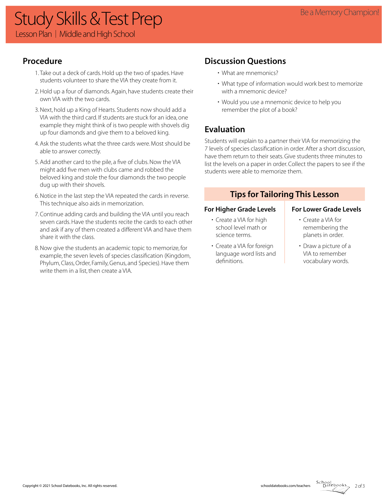# Study Skills & Test Prep **Exampion!** Study Skills & Test Prep **Example A Study Skills & Test Prep** Lesson Plan | Middle and High School

# **Procedure**

- 1. Take out a deck of cards. Hold up the two of spades. Have students volunteer to share the VIA they create from it.
- 2. Hold up a four of diamonds. Again, have students create their own VIA with the two cards.
- 3. Next, hold up a King of Hearts. Students now should add a VIA with the third card. If students are stuck for an idea, one example they might think of is two people with shovels dig up four diamonds and give them to a beloved king.
- 4. Ask the students what the three cards were. Most should be able to answer correctly.
- 5. Add another card to the pile, a five of clubs. Now the VIA might add five men with clubs came and robbed the beloved king and stole the four diamonds the two people dug up with their shovels.
- 6. Notice in the last step the VIA repeated the cards in reverse. This technique also aids in memorization.
- 7. Continue adding cards and building the VIA until you reach seven cards. Have the students recite the cards to each other and ask if any of them created a different VIA and have them share it with the class.
- 8. Now give the students an academic topic to memorize, for example, the seven levels of species classification (Kingdom, Phylum, Class, Order, Family, Genus, and Species). Have them write them in a list, then create a VIA.

# **Discussion Questions**

- What are mnemonics?
- What type of information would work best to memorize with a mnemonic device?
- Would you use a mnemonic device to help you remember the plot of a book?

# **Evaluation**

Students will explain to a partner their VIA for memorizing the 7 levels of species classification in order. After a short discussion, have them return to their seats. Give students three minutes to list the levels on a paper in order. Collect the papers to see if the students were able to memorize them.

## **Tips for Tailoring This Lesson**

#### For Higher Grade Levels **For Lower Grade Levels**

- Create a VIA for high school level math or science terms.
- Create a VIA for foreign language word lists and definitions.

- Create a VIA for remembering the planets in order.
- Draw a picture of a VIA to remember vocabulary words.